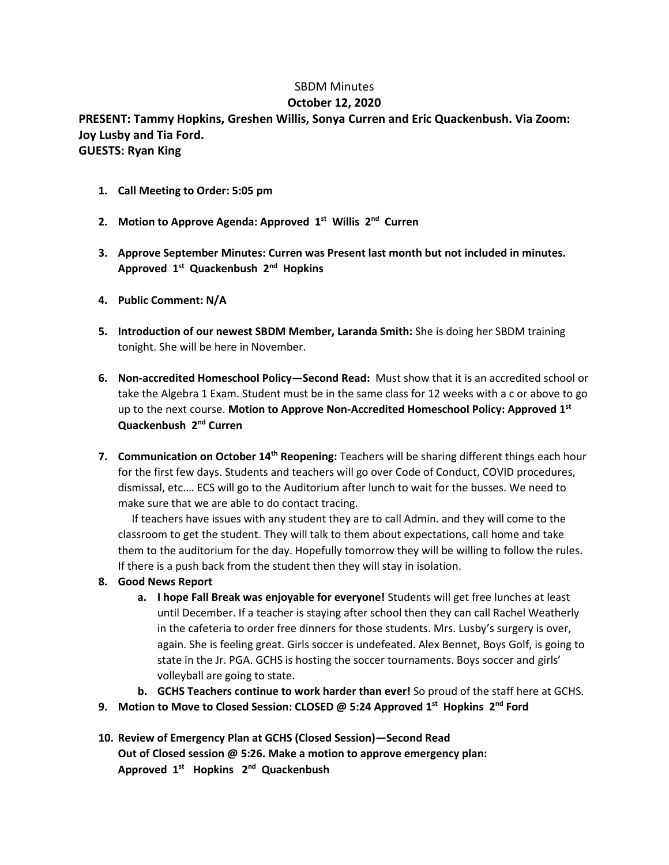## SBDM Minutes

## **October 12, 2020**

**PRESENT: Tammy Hopkins, Greshen Willis, Sonya Curren and Eric Quackenbush. Via Zoom: Joy Lusby and Tia Ford. GUESTS: Ryan King**

- **1. Call Meeting to Order: 5:05 pm**
- **2. Motion to Approve Agenda: Approved 1st Willis 2nd Curren**
- **3. Approve September Minutes: Curren was Present last month but not included in minutes. Approved 1st Quackenbush 2nd Hopkins**
- **4. Public Comment: N/A**
- **5. Introduction of our newest SBDM Member, Laranda Smith:** She is doing her SBDM training tonight. She will be here in November.
- **6. Non-accredited Homeschool Policy—Second Read:** Must show that it is an accredited school or take the Algebra 1 Exam. Student must be in the same class for 12 weeks with a c or above to go up to the next course. **Motion to Approve Non-Accredited Homeschool Policy: Approved 1st Quackenbush 2nd Curren**
- **7. Communication on October 14th Reopening:** Teachers will be sharing different things each hour for the first few days. Students and teachers will go over Code of Conduct, COVID procedures, dismissal, etc.… ECS will go to the Auditorium after lunch to wait for the busses. We need to make sure that we are able to do contact tracing.

 If teachers have issues with any student they are to call Admin. and they will come to the classroom to get the student. They will talk to them about expectations, call home and take them to the auditorium for the day. Hopefully tomorrow they will be willing to follow the rules. If there is a push back from the student then they will stay in isolation.

- **8. Good News Report**
	- **a. I hope Fall Break was enjoyable for everyone!** Students will get free lunches at least until December. If a teacher is staying after school then they can call Rachel Weatherly in the cafeteria to order free dinners for those students. Mrs. Lusby's surgery is over, again. She is feeling great. Girls soccer is undefeated. Alex Bennet, Boys Golf, is going to state in the Jr. PGA. GCHS is hosting the soccer tournaments. Boys soccer and girls' volleyball are going to state.
	- **b. GCHS Teachers continue to work harder than ever!** So proud of the staff here at GCHS.
- **9. Motion to Move to Closed Session: CLOSED @ 5:24 Approved 1st Hopkins 2nd Ford**
- **10. Review of Emergency Plan at GCHS (Closed Session)—Second Read Out of Closed session @ 5:26. Make a motion to approve emergency plan: Approved 1st Hopkins 2nd Quackenbush**